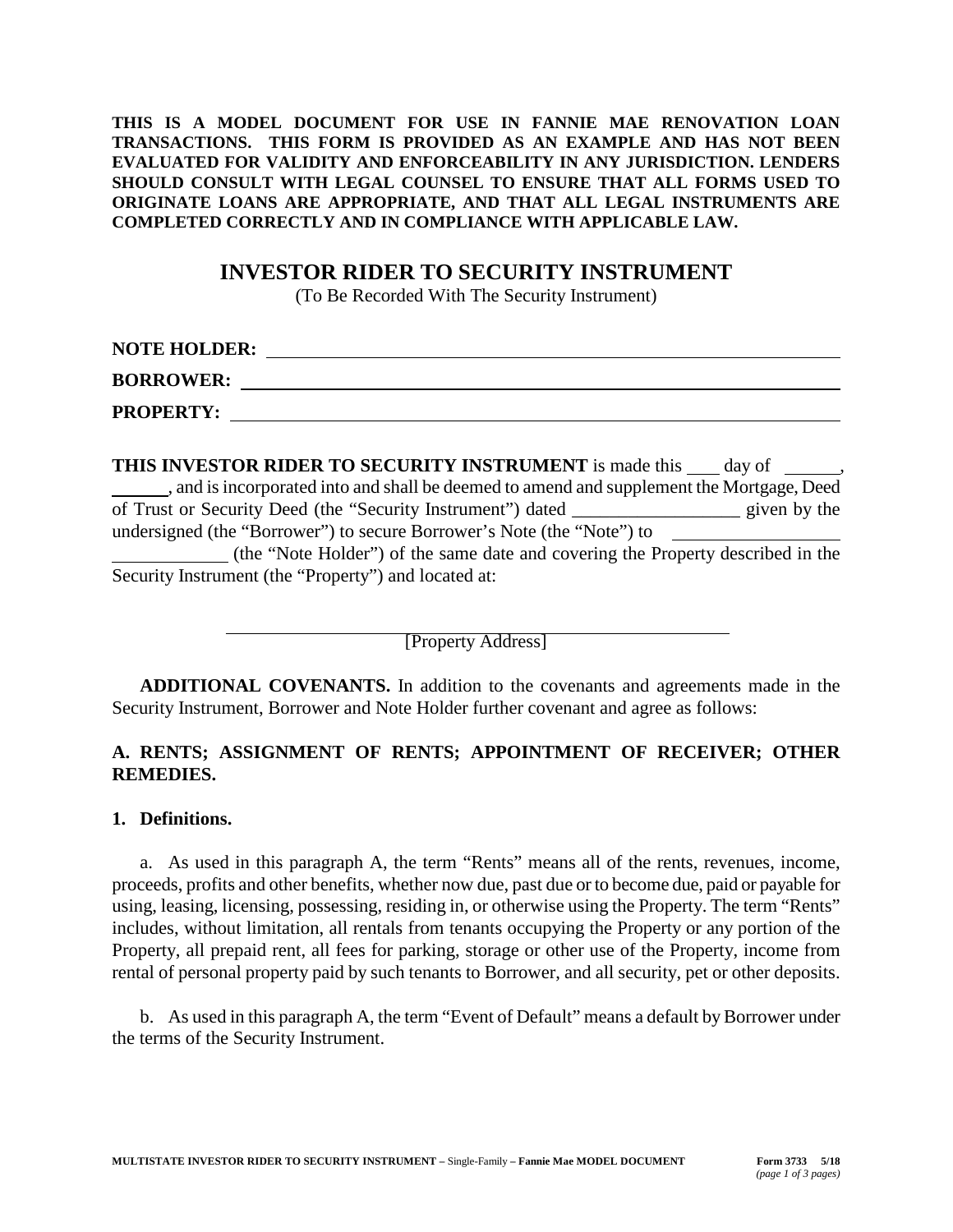#### **THIS IS A MODEL DOCUMENT FOR USE IN FANNIE MAE RENOVATION LOAN TRANSACTIONS. THIS FORM IS PROVIDED AS AN EXAMPLE AND HAS NOT BEEN EVALUATED FOR VALIDITY AND ENFORCEABILITY IN ANY JURISDICTION. LENDERS SHOULD CONSULT WITH LEGAL COUNSEL TO ENSURE THAT ALL FORMS USED TO ORIGINATE LOANS ARE APPROPRIATE, AND THAT ALL LEGAL INSTRUMENTS ARE COMPLETED CORRECTLY AND IN COMPLIANCE WITH APPLICABLE LAW.**

# **INVESTOR RIDER TO SECURITY INSTRUMENT**

(To Be Recorded With The Security Instrument)

| <b>NOTE HOLDER:</b> |  |
|---------------------|--|
| <b>BORROWER:</b>    |  |
| <b>PROPERTY:</b>    |  |

| <b>THIS INVESTOR RIDER TO SECURITY INSTRUMENT</b> is made this day of                   |              |
|-----------------------------------------------------------------------------------------|--------------|
| and is incorporated into and shall be deemed to amend and supplement the Mortgage, Deed |              |
| of Trust or Security Deed (the "Security Instrument") dated                             | given by the |
| undersigned (the "Borrower") to secure Borrower's Note (the "Note") to                  |              |
| (the "Note Holder") of the same date and covering the Property described in the         |              |
| Security Instrument (the "Property") and located at:                                    |              |

[Property Address]

**ADDITIONAL COVENANTS.** In addition to the covenants and agreements made in the Security Instrument, Borrower and Note Holder further covenant and agree as follows:

## **A. RENTS; ASSIGNMENT OF RENTS; APPOINTMENT OF RECEIVER; OTHER REMEDIES.**

### **1. Definitions.**

a. As used in this paragraph A, the term "Rents" means all of the rents, revenues, income, proceeds, profits and other benefits, whether now due, past due or to become due, paid or payable for using, leasing, licensing, possessing, residing in, or otherwise using the Property. The term "Rents" includes, without limitation, all rentals from tenants occupying the Property or any portion of the Property, all prepaid rent, all fees for parking, storage or other use of the Property, income from rental of personal property paid by such tenants to Borrower, and all security, pet or other deposits.

b. As used in this paragraph A, the term "Event of Default" means a default by Borrower under the terms of the Security Instrument.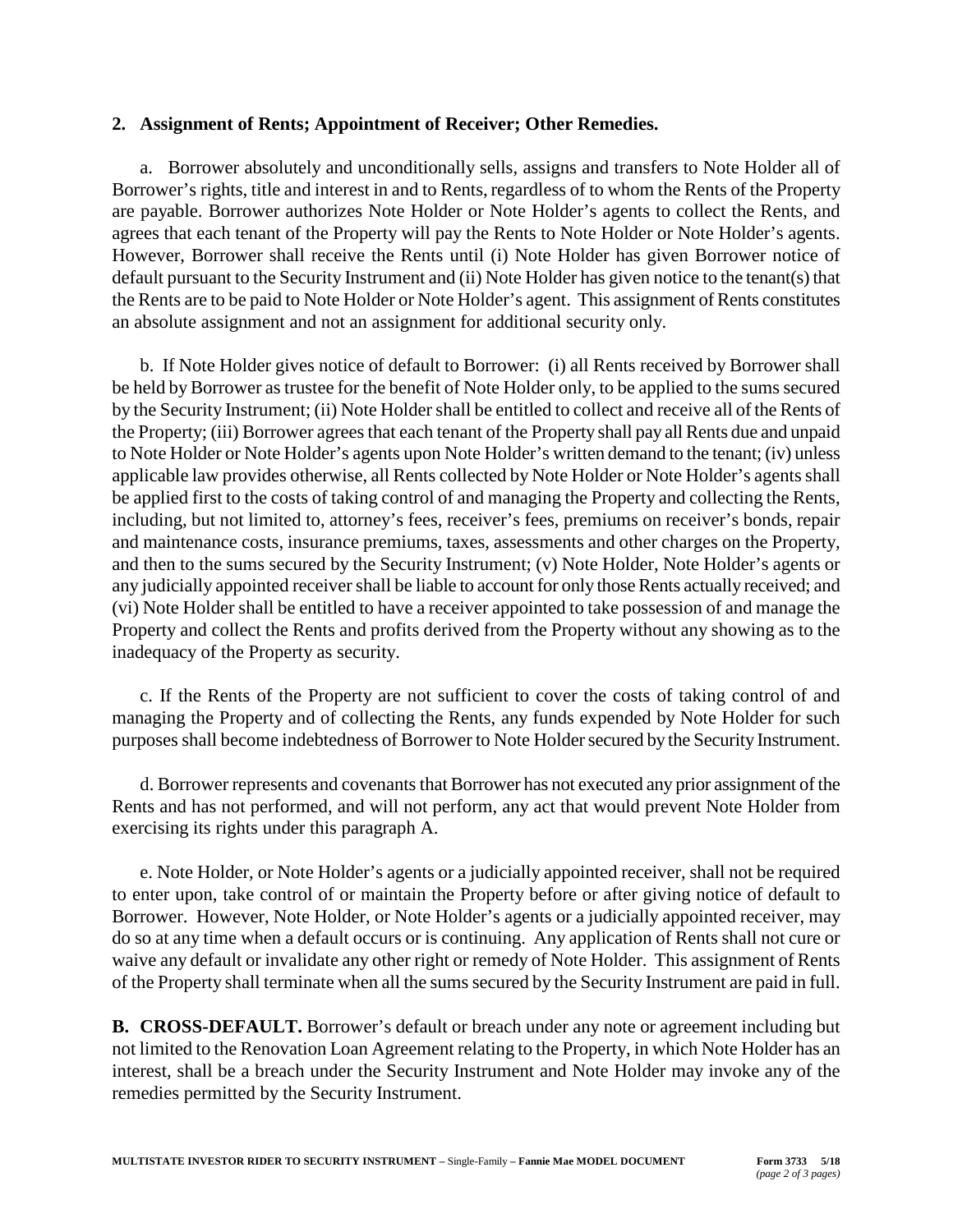### **2. Assignment of Rents; Appointment of Receiver; Other Remedies.**

a. Borrower absolutely and unconditionally sells, assigns and transfers to Note Holder all of Borrower's rights, title and interest in and to Rents, regardless of to whom the Rents of the Property are payable. Borrower authorizes Note Holder or Note Holder's agents to collect the Rents, and agrees that each tenant of the Property will pay the Rents to Note Holder or Note Holder's agents. However, Borrower shall receive the Rents until (i) Note Holder has given Borrower notice of default pursuant to the Security Instrument and (ii) Note Holder has given notice to the tenant(s) that the Rents are to be paid to Note Holder or Note Holder's agent. This assignment of Rents constitutes an absolute assignment and not an assignment for additional security only.

b. If Note Holder gives notice of default to Borrower: (i) all Rents received by Borrower shall be held by Borrower as trustee for the benefit of Note Holder only, to be applied to the sums secured by the Security Instrument; (ii) Note Holder shall be entitled to collect and receive all of the Rents of the Property; (iii) Borrower agrees that each tenant of the Property shall pay all Rents due and unpaid to Note Holder or Note Holder's agents upon Note Holder's written demand to the tenant; (iv) unless applicable law provides otherwise, all Rents collected by Note Holder or Note Holder's agents shall be applied first to the costs of taking control of and managing the Property and collecting the Rents, including, but not limited to, attorney's fees, receiver's fees, premiums on receiver's bonds, repair and maintenance costs, insurance premiums, taxes, assessments and other charges on the Property, and then to the sums secured by the Security Instrument; (v) Note Holder, Note Holder's agents or any judicially appointed receiver shall be liable to account for only those Rents actually received; and (vi) Note Holder shall be entitled to have a receiver appointed to take possession of and manage the Property and collect the Rents and profits derived from the Property without any showing as to the inadequacy of the Property as security.

c. If the Rents of the Property are not sufficient to cover the costs of taking control of and managing the Property and of collecting the Rents, any funds expended by Note Holder for such purposes shall become indebtedness of Borrower to Note Holder secured by the Security Instrument.

d. Borrower represents and covenants that Borrower has not executed any prior assignment of the Rents and has not performed, and will not perform, any act that would prevent Note Holder from exercising its rights under this paragraph A.

e. Note Holder, or Note Holder's agents or a judicially appointed receiver, shall not be required to enter upon, take control of or maintain the Property before or after giving notice of default to Borrower. However, Note Holder, or Note Holder's agents or a judicially appointed receiver, may do so at any time when a default occurs or is continuing. Any application of Rents shall not cure or waive any default or invalidate any other right or remedy of Note Holder. This assignment of Rents of the Property shall terminate when all the sums secured by the Security Instrument are paid in full.

**B. CROSS-DEFAULT.** Borrower's default or breach under any note or agreement including but not limited to the Renovation Loan Agreement relating to the Property, in which Note Holder has an interest, shall be a breach under the Security Instrument and Note Holder may invoke any of the remedies permitted by the Security Instrument.